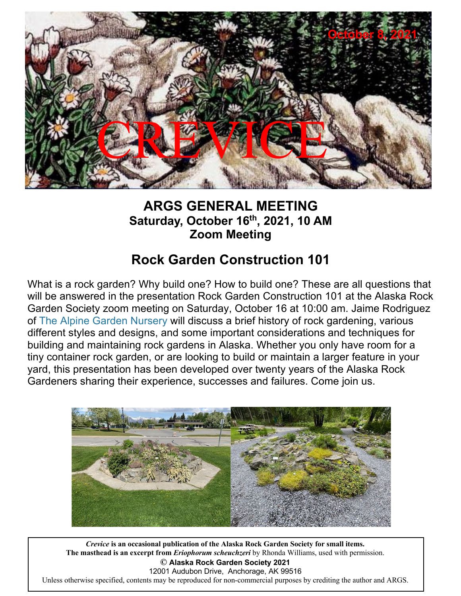

## **ARGS GENERAL MEETING Saturday, October 16th, 2021, 10 AM Zoom Meeting**

## **Rock Garden Construction 101**

What is a rock garden? Why build one? How to build one? These are all questions that will be answered in the presentation Rock Garden Construction 101 at the Alaska Rock Garden Society zoom meeting on Saturday, October 16 at 10:00 am. Jaime Rodriguez of The Alpine Garden Nursery will discuss a brief history of rock gardening, various different styles and designs, and some important considerations and techniques for building and maintaining rock gardens in Alaska. Whether you only have room for a tiny container rock garden, or are looking to build or maintain a larger feature in your yard, this presentation has been developed over twenty years of the Alaska Rock Gardeners sharing their experience, successes and failures. Come join us.



*Crevice* **is an occasional publication of the Alaska Rock Garden Society for small items. The masthead is an excerpt from** *Eriophorum scheuchzeri* **by Rhonda Williams, used with permission. © Alaska Rock Garden Society 2019** 12001 Audubon Drive, Anchorage, AK 99516 *Crevice* **is an occasional publication of the Alaska Rock Garden Society for small items. © Alaska Rock Garden Society 2021** Unless otherwise specified, contents may be reproduced for non-commercial purposes by crediting the author and ARGS.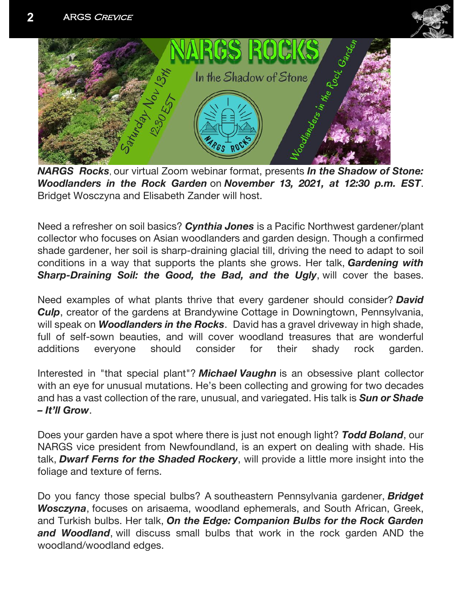



*NARGS Rocks*, our virtual Zoom webinar format, presents *In the Shadow of Stone: Woodlanders in the Rock Garden* on *November 13, 2021, at 12:30 p.m. EST*. Bridget Wosczyna and Elisabeth Zander will host.

Need a refresher on soil basics? *Cynthia Jones* is a Pacific Northwest gardener/plant collector who focuses on Asian woodlanders and garden design. Though a confirmed shade gardener, her soil is sharp-draining glacial till, driving the need to adapt to soil conditions in a way that supports the plants she grows. Her talk, *Gardening with Sharp-Draining Soil: the Good, the Bad, and the Ugly*, will cover the bases.

Need examples of what plants thrive that every gardener should consider? *David Culp*, creator of the gardens at Brandywine Cottage in Downingtown, Pennsylvania, will speak on *Woodlanders in the Rocks*. David has a gravel driveway in high shade, full of self-sown beauties, and will cover woodland treasures that are wonderful additions everyone should consider for their shady rock garden.

Interested in "that special plant"? *Michael Vaughn* is an obsessive plant collector with an eye for unusual mutations. He's been collecting and growing for two decades and has a vast collection of the rare, unusual, and variegated. His talk is *Sun or Shade – It'll Grow*.

Does your garden have a spot where there is just not enough light? *Todd Boland*, our NARGS vice president from Newfoundland, is an expert on dealing with shade. His talk, *Dwarf Ferns for the Shaded Rockery*, will provide a little more insight into the foliage and texture of ferns.

Do you fancy those special bulbs? A southeastern Pennsylvania gardener, *Bridget Wosczyna*, focuses on arisaema, woodland ephemerals, and South African, Greek, and Turkish bulbs. Her talk, *On the Edge: Companion Bulbs for the Rock Garden and Woodland*, will discuss small bulbs that work in the rock garden AND the woodland/woodland edges.